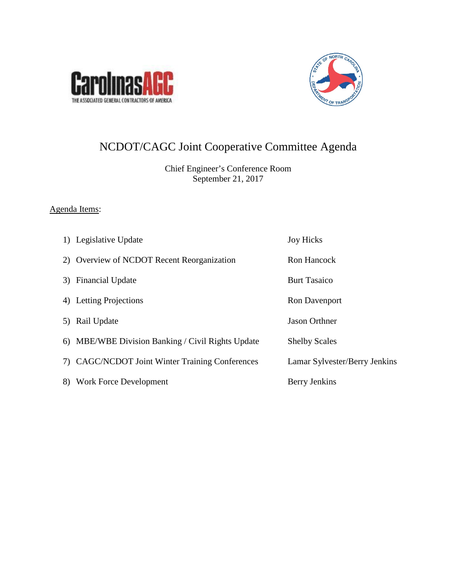



# NCDOT/CAGC Joint Cooperative Committee Agenda

Chief Engineer's Conference Room September 21, 2017

# Agenda Items:

|    | 1) Legislative Update                             | <b>Joy Hicks</b>              |
|----|---------------------------------------------------|-------------------------------|
|    | 2) Overview of NCDOT Recent Reorganization        | Ron Hancock                   |
|    | 3) Financial Update                               | <b>Burt Tasaico</b>           |
|    | 4) Letting Projections                            | Ron Davenport                 |
|    | 5) Rail Update                                    | <b>Jason Orthner</b>          |
|    | 6) MBE/WBE Division Banking / Civil Rights Update | <b>Shelby Scales</b>          |
|    | 7) CAGC/NCDOT Joint Winter Training Conferences   | Lamar Sylvester/Berry Jenkins |
| 8) | Work Force Development                            | Berry Jenkins                 |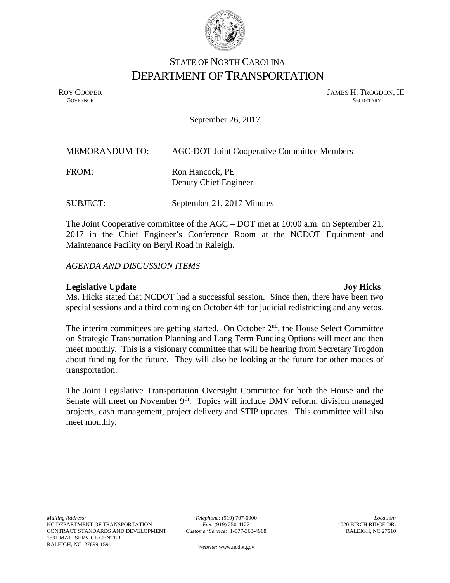

# STATE OF NORTH CAROLINA DEPARTMENT OF TRANSPORTATION

ROY COOPER JAMES H. TROGDON, III GOVERNOR SECRETARY SECRETARY **GOVERNOR** SECRETARY

September 26, 2017

| <b>MEMORANDUM TO:</b> | <b>AGC-DOT Joint Cooperative Committee Members</b> |
|-----------------------|----------------------------------------------------|
| FROM:                 | Ron Hancock, PE<br>Deputy Chief Engineer           |
| <b>SUBJECT:</b>       | September 21, 2017 Minutes                         |

The Joint Cooperative committee of the AGC – DOT met at 10:00 a.m. on September 21, 2017 in the Chief Engineer's Conference Room at the NCDOT Equipment and Maintenance Facility on Beryl Road in Raleigh.

*AGENDA AND DISCUSSION ITEMS*

## **Legislative Update 3 and 2 and 3 and 3 and 3 and 3 and 3 and 3 and 3 and 3 and 3 and 3 and 3 and 3 and 3 and 3 and 3 and 3 and 3 and 3 and 3 and 3 and 3 and 3 and 3 and 3 and 3 and 3 and 3 and 3 and 3 and 3 and 3 and 3 an**

Ms. Hicks stated that NCDOT had a successful session. Since then, there have been two special sessions and a third coming on October 4th for judicial redistricting and any vetos.

The interim committees are getting started. On October  $2<sup>nd</sup>$ , the House Select Committee on Strategic Transportation Planning and Long Term Funding Options will meet and then meet monthly. This is a visionary committee that will be hearing from Secretary Trogdon about funding for the future. They will also be looking at the future for other modes of transportation.

The Joint Legislative Transportation Oversight Committee for both the House and the Senate will meet on November  $9<sup>th</sup>$ . Topics will include DMV reform, division managed projects, cash management, project delivery and STIP updates. This committee will also meet monthly.

*Telephone:* (919) 707-6900 *Fax:* (919) 250-4127 *Customer Service:* 1-877-368-4968

*Website:* [www.ncdot.gov](http://www.ncdot.gov/)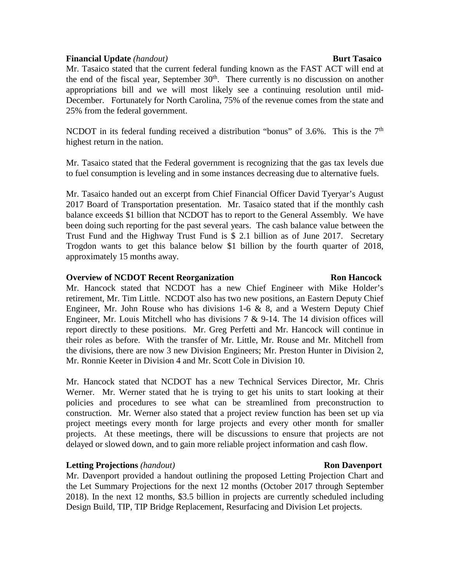## **Financial Update** *(handout)* **Burt Tasaico**

Mr. Tasaico stated that the current federal funding known as the FAST ACT will end at the end of the fiscal year, September  $30<sup>th</sup>$ . There currently is no discussion on another appropriations bill and we will most likely see a continuing resolution until mid-December. Fortunately for North Carolina, 75% of the revenue comes from the state and 25% from the federal government.

NCDOT in its federal funding received a distribution "bonus" of  $3.6\%$ . This is the  $7<sup>th</sup>$ highest return in the nation.

Mr. Tasaico stated that the Federal government is recognizing that the gas tax levels due to fuel consumption is leveling and in some instances decreasing due to alternative fuels.

Mr. Tasaico handed out an excerpt from Chief Financial Officer David Tyeryar's August 2017 Board of Transportation presentation. Mr. Tasaico stated that if the monthly cash balance exceeds \$1 billion that NCDOT has to report to the General Assembly. We have been doing such reporting for the past several years. The cash balance value between the Trust Fund and the Highway Trust Fund is \$ 2.1 billion as of June 2017. Secretary Trogdon wants to get this balance below \$1 billion by the fourth quarter of 2018, approximately 15 months away.

## **Overview of NCDOT Recent Reorganization Ron Hancock**

Mr. Hancock stated that NCDOT has a new Chief Engineer with Mike Holder's retirement, Mr. Tim Little. NCDOT also has two new positions, an Eastern Deputy Chief Engineer, Mr. John Rouse who has divisions 1-6  $\&$  8, and a Western Deputy Chief Engineer, Mr. Louis Mitchell who has divisions  $7 \& 9-14$ . The 14 division offices will report directly to these positions. Mr. Greg Perfetti and Mr. Hancock will continue in their roles as before. With the transfer of Mr. Little, Mr. Rouse and Mr. Mitchell from the divisions, there are now 3 new Division Engineers; Mr. Preston Hunter in Division 2, Mr. Ronnie Keeter in Division 4 and Mr. Scott Cole in Division 10.

Mr. Hancock stated that NCDOT has a new Technical Services Director, Mr. Chris Werner. Mr. Werner stated that he is trying to get his units to start looking at their policies and procedures to see what can be streamlined from preconstruction to construction. Mr. Werner also stated that a project review function has been set up via project meetings every month for large projects and every other month for smaller projects. At these meetings, there will be discussions to ensure that projects are not delayed or slowed down, and to gain more reliable project information and cash flow.

## **Letting Projections** *(handout)* **Ron Davenport**

Mr. Davenport provided a handout outlining the proposed Letting Projection Chart and the Let Summary Projections for the next 12 months (October 2017 through September 2018). In the next 12 months, \$3.5 billion in projects are currently scheduled including Design Build, TIP, TIP Bridge Replacement, Resurfacing and Division Let projects.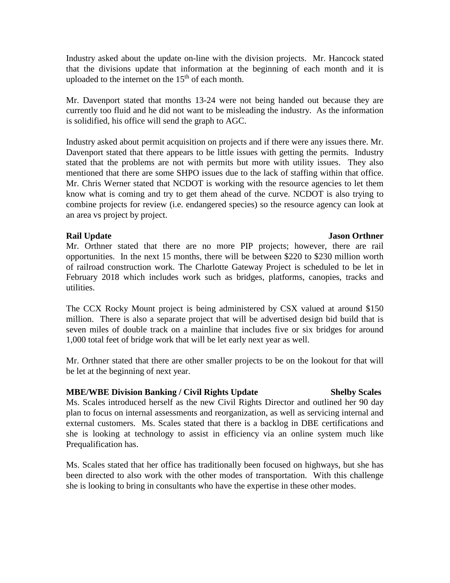Industry asked about the update on-line with the division projects. Mr. Hancock stated that the divisions update that information at the beginning of each month and it is uploaded to the internet on the  $15<sup>th</sup>$  of each month.

Mr. Davenport stated that months 13-24 were not being handed out because they are currently too fluid and he did not want to be misleading the industry. As the information is solidified, his office will send the graph to AGC.

Industry asked about permit acquisition on projects and if there were any issues there. Mr. Davenport stated that there appears to be little issues with getting the permits. Industry stated that the problems are not with permits but more with utility issues. They also mentioned that there are some SHPO issues due to the lack of staffing within that office. Mr. Chris Werner stated that NCDOT is working with the resource agencies to let them know what is coming and try to get them ahead of the curve. NCDOT is also trying to combine projects for review (i.e. endangered species) so the resource agency can look at an area vs project by project.

## **Rail Update** Jason Orthner

Mr. Orthner stated that there are no more PIP projects; however, there are rail opportunities. In the next 15 months, there will be between \$220 to \$230 million worth of railroad construction work. The Charlotte Gateway Project is scheduled to be let in February 2018 which includes work such as bridges, platforms, canopies, tracks and utilities.

The CCX Rocky Mount project is being administered by CSX valued at around \$150 million. There is also a separate project that will be advertised design bid build that is seven miles of double track on a mainline that includes five or six bridges for around 1,000 total feet of bridge work that will be let early next year as well.

Mr. Orthner stated that there are other smaller projects to be on the lookout for that will be let at the beginning of next year.

## **MBE/WBE Division Banking / Civil Rights Update Shelby Scales**

Ms. Scales introduced herself as the new Civil Rights Director and outlined her 90 day plan to focus on internal assessments and reorganization, as well as servicing internal and external customers. Ms. Scales stated that there is a backlog in DBE certifications and she is looking at technology to assist in efficiency via an online system much like Prequalification has.

Ms. Scales stated that her office has traditionally been focused on highways, but she has been directed to also work with the other modes of transportation. With this challenge she is looking to bring in consultants who have the expertise in these other modes.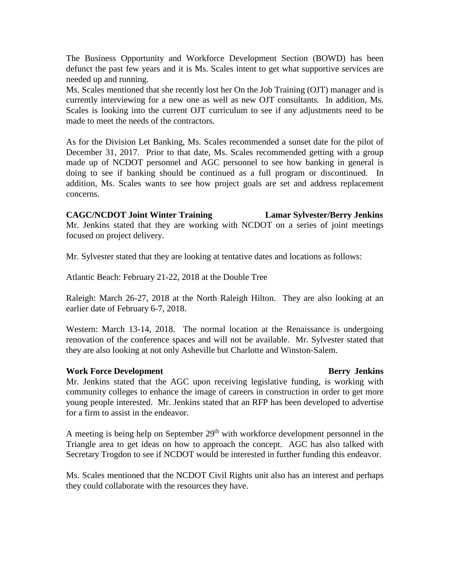The Business Opportunity and Workforce Development Section (BOWD) has been defunct the past few years and it is Ms. Scales intent to get what supportive services are needed up and running.

Ms. Scales mentioned that she recently lost her On the Job Training (OJT) manager and is currently interviewing for a new one as well as new OJT consultants. In addition, Ms. Scales is looking into the current OJT curriculum to see if any adjustments need to be made to meet the needs of the contractors.

As for the Division Let Banking, Ms. Scales recommended a sunset date for the pilot of December 31, 2017. Prior to that date, Ms. Scales recommended getting with a group made up of NCDOT personnel and AGC personnel to see how banking in general is doing to see if banking should be continued as a full program or discontinued. In addition, Ms. Scales wants to see how project goals are set and address replacement concerns.

**CAGC/NCDOT Joint Winter Training Lamar Sylvester/Berry Jenkins** Mr. Jenkins stated that they are working with NCDOT on a series of joint meetings focused on project delivery.

Mr. Sylvester stated that they are looking at tentative dates and locations as follows:

Atlantic Beach: February 21-22, 2018 at the Double Tree

Raleigh: March 26-27, 2018 at the North Raleigh Hilton. They are also looking at an earlier date of February 6-7, 2018.

Western: March 13-14, 2018. The normal location at the Renaissance is undergoing renovation of the conference spaces and will not be available. Mr. Sylvester stated that they are also looking at not only Asheville but Charlotte and Winston-Salem.

### **Work Force Development Community Community Community Berry Jenkins**

Mr. Jenkins stated that the AGC upon receiving legislative funding, is working with community colleges to enhance the image of careers in construction in order to get more young people interested. Mr. Jenkins stated that an RFP has been developed to advertise for a firm to assist in the endeavor.

A meeting is being help on September  $29<sup>th</sup>$  with workforce development personnel in the Triangle area to get ideas on how to approach the concept. AGC has also talked with Secretary Trogdon to see if NCDOT would be interested in further funding this endeavor.

Ms. Scales mentioned that the NCDOT Civil Rights unit also has an interest and perhaps they could collaborate with the resources they have.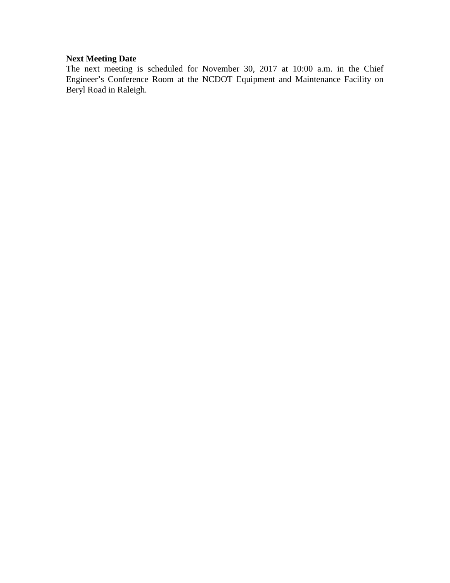# **Next Meeting Date**

The next meeting is scheduled for November 30, 2017 at 10:00 a.m. in the Chief Engineer's Conference Room at the NCDOT Equipment and Maintenance Facility on Beryl Road in Raleigh.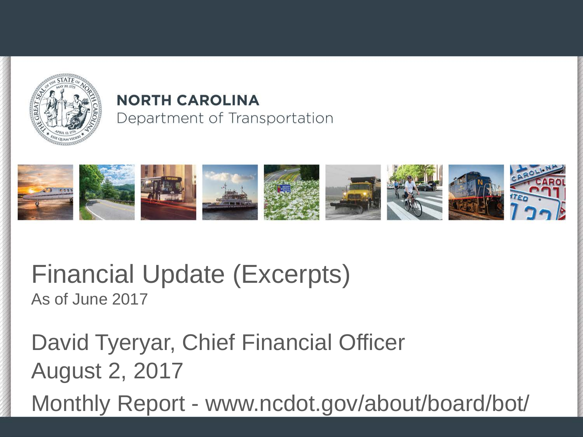

# **NORTH CAROLINA** Department of Transportation



# Financial Update (Excerpts) As of June 2017

David Tyeryar, Chief Financial Officer August 2, 2017

Monthly Report - www.ncdot.gov/about/board/bot/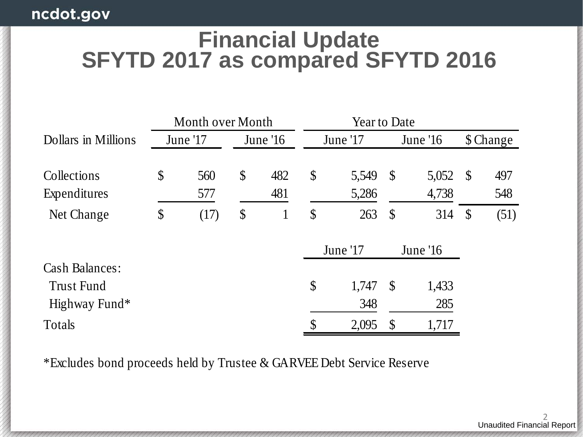# **Financial Update SFYTD 2017 as compared SFYTD 2016**

|                       | Month over Month |           |                           | <b>Year to Date</b> |               |          |               |      |
|-----------------------|------------------|-----------|---------------------------|---------------------|---------------|----------|---------------|------|
| Dollars in Millions   | June '17         | June $16$ |                           | June '17            |               | June '16 | \$ Change     |      |
|                       |                  |           |                           |                     |               |          |               |      |
| Collections           | \$<br>560        | \$<br>482 | $\boldsymbol{\mathsf{S}}$ | 5,549               | $\mathcal{S}$ | 5,052    | <b>S</b>      | 497  |
| Expenditures          | 577              | 481       |                           | 5,286               |               | 4,738    |               | 548  |
| Net Change            | \$<br>(17)       | \$<br>1   | $\boldsymbol{\mathsf{S}}$ | 263                 | $\mathcal{S}$ | 314      | $\mathcal{S}$ | (51) |
|                       |                  |           |                           | June '17            |               | June '16 |               |      |
| <b>Cash Balances:</b> |                  |           |                           |                     |               |          |               |      |
| <b>Trust Fund</b>     |                  |           | \$                        | 1,747               | $\mathcal{S}$ | 1,433    |               |      |
| Highway Fund*         |                  |           |                           | 348                 |               | 285      |               |      |
| Totals                |                  |           | \$                        | 2,095               | $\mathcal{S}$ | 1,717    |               |      |

\*Excludes bond proceeds held by Trustee & GARVEE Debt Service Reserve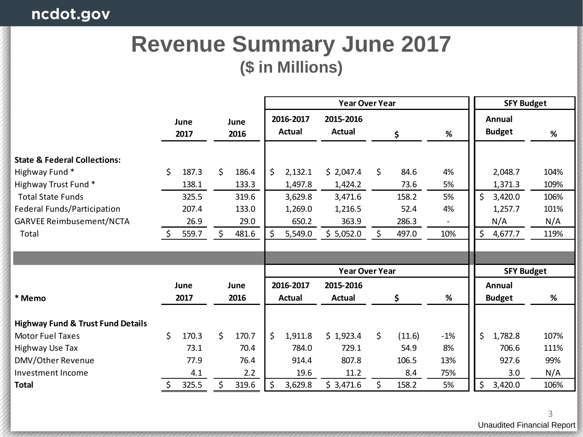# **Revenue Summary June 2017 (\$ in Millions)**

|                                                                                                                                                                                        |              |                                                   |          |                                                   | <b>Year Over Year</b> |                                                              |                                                                  |              |                                                 |                             |          | <b>SFY Budget</b>                                          |                                             |  |  |
|----------------------------------------------------------------------------------------------------------------------------------------------------------------------------------------|--------------|---------------------------------------------------|----------|---------------------------------------------------|-----------------------|--------------------------------------------------------------|------------------------------------------------------------------|--------------|-------------------------------------------------|-----------------------------|----------|------------------------------------------------------------|---------------------------------------------|--|--|
|                                                                                                                                                                                        | June<br>2017 |                                                   |          | June<br>2016                                      |                       | 2016-2017<br>Actual                                          | 2015-2016<br><b>Actual</b>                                       | \$           |                                                 | %                           |          | Annual<br><b>Budget</b>                                    | %                                           |  |  |
| <b>State &amp; Federal Collections:</b><br>Highway Fund*<br>Highway Trust Fund*<br><b>Total State Funds</b><br>Federal Funds/Participation<br><b>GARVEE Reimbusement/NCTA</b><br>Total |              | 187.3<br>138.1<br>325.5<br>207.4<br>26.9<br>559.7 | \$<br>\$ | 186.4<br>133.3<br>319.6<br>133.0<br>29.0<br>481.6 | Ś.<br>\$              | 2,132.1<br>1,497.8<br>3,629.8<br>1,269.0<br>650.2<br>5,549.0 | \$2,047.4<br>1,424.2<br>3,471.6<br>1,216.5<br>363.9<br>\$5,052.0 | \$<br>\$     | 84.6<br>73.6<br>158.2<br>52.4<br>286.3<br>497.0 | 4%<br>5%<br>5%<br>4%<br>10% | \$<br>\$ | 2,048.7<br>1,371.3<br>3,420.0<br>1,257.7<br>N/A<br>4,677.7 | 104%<br>109%<br>106%<br>101%<br>N/A<br>119% |  |  |
|                                                                                                                                                                                        |              |                                                   |          |                                                   |                       |                                                              |                                                                  |              |                                                 |                             |          |                                                            |                                             |  |  |
|                                                                                                                                                                                        |              |                                                   |          |                                                   |                       |                                                              | <b>Year Over Year</b>                                            |              |                                                 |                             |          | <b>SFY Budget</b>                                          |                                             |  |  |
| * Memo                                                                                                                                                                                 |              | June<br>2017                                      |          | June<br>2016                                      |                       | 2016-2017<br>Actual                                          | 2015-2016<br><b>Actual</b>                                       |              | \$                                              | %                           |          | Annual<br><b>Budget</b>                                    | %                                           |  |  |
|                                                                                                                                                                                        |              |                                                   |          |                                                   |                       |                                                              |                                                                  |              |                                                 |                             |          |                                                            |                                             |  |  |
| <b>Highway Fund &amp; Trust Fund Details</b>                                                                                                                                           |              |                                                   |          |                                                   |                       |                                                              |                                                                  |              |                                                 |                             |          |                                                            |                                             |  |  |
| <b>Motor Fuel Taxes</b>                                                                                                                                                                | \$           | 170.3                                             | \$       | 170.7                                             | Ś.                    | 1,911.8                                                      | \$1,923.4                                                        | $\mathsf{S}$ | (11.6)                                          | $-1%$                       | \$       | 1,782.8                                                    | 107%                                        |  |  |
| Highway Use Tax                                                                                                                                                                        |              | 73.1                                              |          | 70.4                                              |                       | 784.0                                                        | 729.1                                                            |              | 54.9                                            | 8%                          |          | 706.6                                                      | 111%                                        |  |  |
| DMV/Other Revenue                                                                                                                                                                      |              | 77.9                                              |          | 76.4                                              |                       | 914.4                                                        | 807.8                                                            |              | 106.5                                           | 13%                         |          | 927.6                                                      | 99%                                         |  |  |
| Investment Income                                                                                                                                                                      |              | 4.1                                               |          | 2.2                                               |                       | 19.6                                                         | 11.2                                                             |              | 8.4                                             | 75%                         |          | 3.0                                                        | N/A                                         |  |  |
| <b>Total</b>                                                                                                                                                                           | \$           | 325.5                                             | \$       | 319.6                                             | \$                    | 3,629.8                                                      | \$3,471.6                                                        | Ś.           | 158.2                                           | 5%                          | \$       | 3,420.0                                                    | 106%                                        |  |  |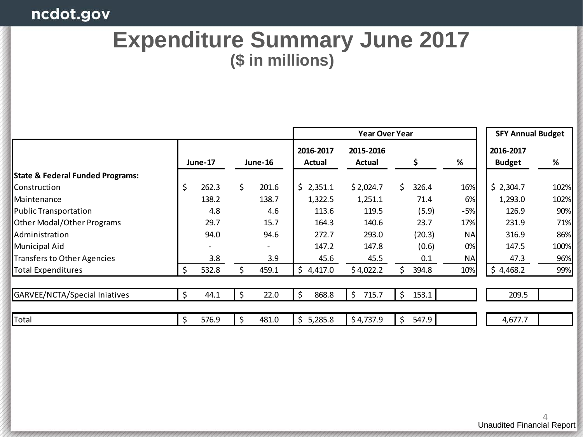# ncdot.gov

# **Expenditure Summary June 2017 (\$ in millions)**

|                                             |    |         |     |         |                     | <b>Year Over Year</b> |    |        | <b>SFY Annual Budget</b> |                            |      |
|---------------------------------------------|----|---------|-----|---------|---------------------|-----------------------|----|--------|--------------------------|----------------------------|------|
|                                             |    | June-17 |     | June-16 | 2016-2017<br>Actual | 2015-2016<br>Actual   |    |        | %                        | 2016-2017<br><b>Budget</b> | %    |
| <b>State &amp; Federal Funded Programs:</b> |    |         |     |         |                     |                       |    |        |                          |                            |      |
| lConstruction                               | \$ | 262.3   | \$. | 201.6   | \$2,351.1           | \$2,024.7             | \$ | 326.4  | 16%                      | \$2,304.7                  | 102% |
| l Maintenance                               |    | 138.2   |     | 138.7   | 1,322.5             | 1,251.1               |    | 71.4   | 6%                       | 1,293.0                    | 102% |
| Public Transportation                       |    | 4.8     |     | 4.6     | 113.6               | 119.5                 |    | (5.9)  | $-5%$                    | 126.9                      | 90%  |
| <b>Other Modal/Other Programs</b>           |    | 29.7    |     | 15.7    | 164.3               | 140.6                 |    | 23.7   | 17%                      | 231.9                      | 71%  |
| Administration                              |    | 94.0    |     | 94.6    | 272.7               | 293.0                 |    | (20.3) | <b>NA</b>                | 316.9                      | 86%  |
| <b>Municipal Aid</b>                        |    |         |     | -       | 147.2               | 147.8                 |    | (0.6)  | 0%                       | 147.5                      | 100% |
| Transfers to Other Agencies                 |    | 3.8     |     | 3.9     | 45.6                | 45.5                  |    | 0.1    | <b>NA</b>                | 47.3                       | 96%  |
| <b>Total Expenditures</b>                   | Ś  | 532.8   | Ś.  | 459.1   | \$4,417.0           | \$4,022.2             | Ś. | 394.8  | 10%                      | \$4,468.2                  | 99%  |
| GARVEE/NCTA/Special Iniatives               | Ś  | 44.1    | \$  | 22.0    | \$<br>868.8         | \$<br>715.7           | \$ | 153.1  |                          | 209.5                      |      |
| Total                                       | \$ | 576.9   | \$  | 481.0   | \$5,285.8           | \$4,737.9             | \$ | 547.9  |                          | 4,677.7                    |      |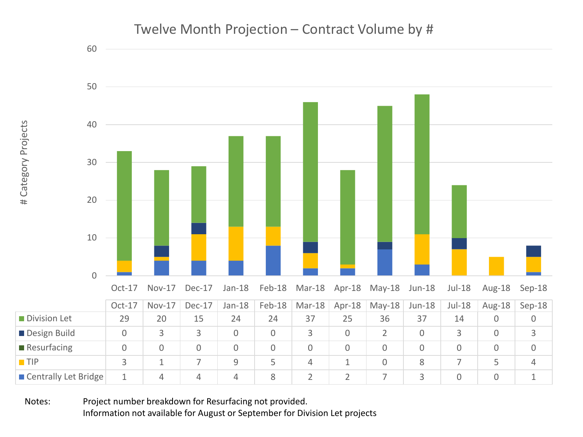

Notes: Project number breakdown for Resurfacing not provided. Information not available for August or September for Division Let projects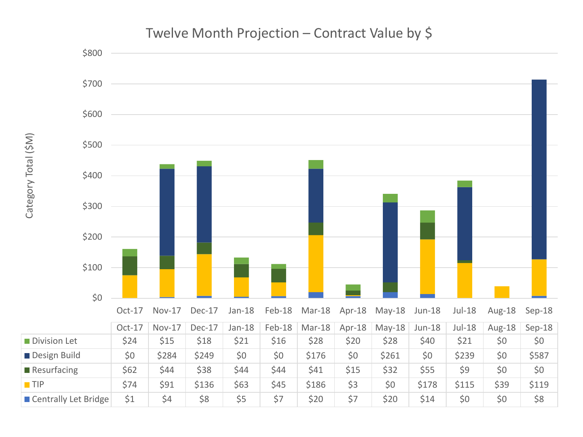

# Twelve Month Projection – Contract Value by \$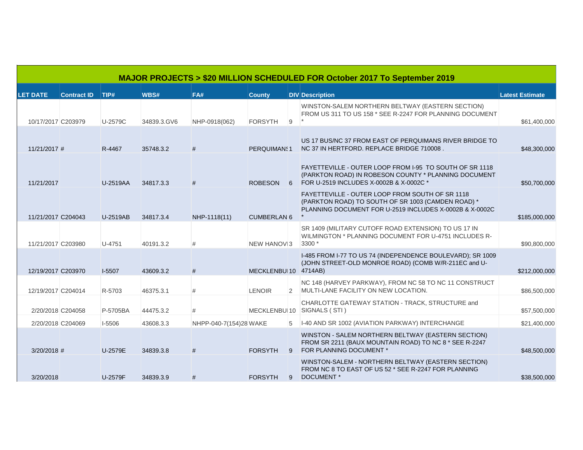|                    |                    |          |             |                        |                        |                | MAJOR PROJECTS > \$20 MILLION SCHEDULED FOR October 2017 To September 2019                                                                                       |                        |
|--------------------|--------------------|----------|-------------|------------------------|------------------------|----------------|------------------------------------------------------------------------------------------------------------------------------------------------------------------|------------------------|
| <b>LET DATE</b>    | <b>Contract ID</b> | TIP#     | WBS#        | FA#                    | <b>County</b>          |                | <b>DIV</b> Description                                                                                                                                           | <b>Latest Estimate</b> |
| 10/17/2017 C203979 |                    | U-2579C  | 34839.3.GV6 | NHP-0918(062)          | <b>FORSYTH</b>         | 9              | WINSTON-SALEM NORTHERN BELTWAY (EASTERN SECTION)<br>FROM US 311 TO US 158 * SEE R-2247 FOR PLANNING DOCUMENT                                                     | \$61,400,000           |
| $11/21/2017$ #     |                    | R-4467   | 35748.3.2   | #                      | PERQUIMAN: 1           |                | US 17 BUS/NC 37 FROM EAST OF PERQUIMANS RIVER BRIDGE TO<br>NC 37 IN HERTFORD. REPLACE BRIDGE 710008.                                                             | \$48,300,000           |
| 11/21/2017         |                    | U-2519AA | 34817.3.3   | #                      | <b>ROBESON</b>         |                | FAYETTEVILLE - OUTER LOOP FROM 1-95 TO SOUTH OF SR 1118<br>(PARKTON ROAD) IN ROBESON COUNTY * PLANNING DOCUMENT<br>6 FOR U-2519 INCLUDES X-0002B & X-0002C *     | \$50,700,000           |
| 11/21/2017 C204043 |                    | U-2519AB | 34817.3.4   | NHP-1118(11)           | <b>CUMBERLAN 6</b>     |                | FAYETTEVILLE - OUTER LOOP FROM SOUTH OF SR 1118<br>(PARKTON ROAD) TO SOUTH OF SR 1003 (CAMDEN ROAD) *<br>PLANNING DOCUMENT FOR U-2519 INCLUDES X-0002B & X-0002C | \$185,000,000          |
| 11/21/2017 C203980 |                    | U-4751   | 40191.3.2   | #                      | NEW HANOV <sub>3</sub> |                | SR 1409 (MILITARY CUTOFF ROAD EXTENSION) TO US 17 IN<br>WILMINGTON * PLANNING DOCUMENT FOR U-4751 INCLUDES R-<br>$3300*$                                         | \$90,800,000           |
| 12/19/2017 C203970 |                    | $1-5507$ | 43609.3.2   | #                      | MECKLENBU 10 4714AB)   |                | I-485 FROM I-77 TO US 74 (INDEPENDENCE BOULEVARD); SR 1009<br>(JOHN STREET-OLD MONROE ROAD) (COMB W/R-211EC and U-                                               | \$212,000,000          |
| 12/19/2017 C204014 |                    | R-5703   | 46375.3.1   | #                      | <b>LENOIR</b>          | $\overline{2}$ | NC 148 (HARVEY PARKWAY), FROM NC 58 TO NC 11 CONSTRUCT<br>MULTI-LANE FACILITY ON NEW LOCATION.                                                                   | \$86,500,000           |
| 2/20/2018 C204058  |                    | P-5705BA | 44475.3.2   | #                      | MECKLENBU 10           |                | CHARLOTTE GATEWAY STATION - TRACK, STRUCTURE and<br>SIGNALS (STI)                                                                                                | \$57,500,000           |
| 2/20/2018 C204069  |                    | $I-5506$ | 43608.3.3   | NHPP-040-7(154)28 WAKE |                        | 5              | 1-40 AND SR 1002 (AVIATION PARKWAY) INTERCHANGE                                                                                                                  | \$21,400,000           |
| $3/20/2018$ #      |                    | U-2579E  | 34839.3.8   | #                      | <b>FORSYTH</b>         | 9              | WINSTON - SALEM NORTHERN BELTWAY (EASTERN SECTION)<br>FROM SR 2211 (BAUX MOUNTAIN ROAD) TO NC 8 * SEE R-2247<br>FOR PLANNING DOCUMENT *                          | \$48,500,000           |
| 3/20/2018          |                    | U-2579F  | 34839.3.9   | #                      | <b>FORSYTH</b>         | 9              | WINSTON-SALEM - NORTHERN BELTWAY (EASTERN SECTION)<br>FROM NC 8 TO EAST OF US 52 * SEE R-2247 FOR PLANNING<br>DOCUMENT <sup>*</sup>                              | \$38,500,000           |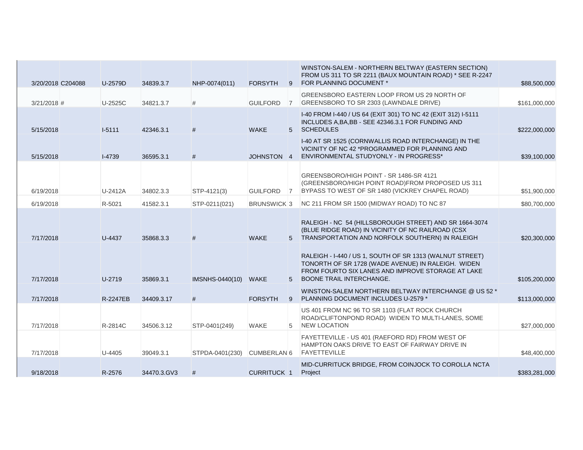| 3/20/2018 C204088 | U-2579D         | 34839.3.7   | NHP-0074(011)   | <b>FORSYTH</b>     | 9              | WINSTON-SALEM - NORTHERN BELTWAY (EASTERN SECTION)<br>FROM US 311 TO SR 2211 (BAUX MOUNTAIN ROAD) * SEE R-2247<br>FOR PLANNING DOCUMENT *                                                       | \$88,500,000  |
|-------------------|-----------------|-------------|-----------------|--------------------|----------------|-------------------------------------------------------------------------------------------------------------------------------------------------------------------------------------------------|---------------|
| $3/21/2018$ #     | U-2525C         | 34821.3.7   | #               | <b>GUILFORD</b>    | $\overline{7}$ | GREENSBORO EASTERN LOOP FROM US 29 NORTH OF<br>GREENSBORO TO SR 2303 (LAWNDALE DRIVE)                                                                                                           | \$161,000,000 |
| 5/15/2018         | $I-5111$        | 42346.3.1   | #               | <b>WAKE</b>        |                | I-40 FROM I-440 / US 64 (EXIT 301) TO NC 42 (EXIT 312) I-5111<br>INCLUDES A, BA, BB - SEE 42346.3.1 FOR FUNDING AND<br>5 SCHEDULES                                                              | \$222,000,000 |
| 5/15/2018         | $I-4739$        | 36595.3.1   | #               | JOHNSTON 4         |                | I-40 AT SR 1525 (CORNWALLIS ROAD INTERCHANGE) IN THE<br>VICINITY OF NC 42 *PROGRAMMED FOR PLANNING AND<br>ENVIRONMENTAL STUDYONLY - IN PROGRESS*                                                | \$39,100,000  |
| 6/19/2018         | U-2412A         | 34802.3.3   | STP-4121(3)     | <b>GUILFORD</b>    | $\overline{7}$ | GREENSBORO/HIGH POINT - SR 1486-SR 4121<br>(GREENSBORO/HIGH POINT ROAD)FROM PROPOSED US 311<br>BYPASS TO WEST OF SR 1480 (VICKREY CHAPEL ROAD)                                                  | \$51,900,000  |
| 6/19/2018         | R-5021          | 41582.3.1   | STP-0211(021)   | <b>BRUNSWICK 3</b> |                | NC 211 FROM SR 1500 (MIDWAY ROAD) TO NC 87                                                                                                                                                      | \$80,700,000  |
| 7/17/2018         | U-4437          | 35868.3.3   | #               | <b>WAKE</b>        |                | RALEIGH - NC 54 (HILLSBOROUGH STREET) AND SR 1664-3074<br>(BLUE RIDGE ROAD) IN VICINITY OF NC RAILROAD (CSX<br>5 TRANSPORTATION AND NORFOLK SOUTHERN) IN RALEIGH                                | \$20,300,000  |
| 7/17/2018         | U-2719          | 35869.3.1   | IMSNHS-0440(10) | <b>WAKE</b>        | 5 <sup>5</sup> | RALEIGH - I-440 / US 1, SOUTH OF SR 1313 (WALNUT STREET)<br>TONORTH OF SR 1728 (WADE AVENUE) IN RALEIGH. WIDEN<br>FROM FOURTO SIX LANES AND IMPROVE STORAGE AT LAKE<br>BOONE TRAIL INTERCHANGE. | \$105,200,000 |
| 7/17/2018         | <b>R-2247EB</b> | 34409.3.17  | #               | <b>FORSYTH</b>     |                | WINSTON-SALEM NORTHERN BELTWAY INTERCHANGE @ US 52 *<br>9 PLANNING DOCUMENT INCLUDES U-2579 *                                                                                                   | \$113,000,000 |
| 7/17/2018         | R-2814C         | 34506.3.12  | STP-0401(249)   | <b>WAKE</b>        | 5              | US 401 FROM NC 96 TO SR 1103 (FLAT ROCK CHURCH<br>ROAD/CLIFTONPOND ROAD) WIDEN TO MULTI-LANES, SOME<br><b>NEW LOCATION</b>                                                                      | \$27,000,000  |
| 7/17/2018         | U-4405          | 39049.3.1   | STPDA-0401(230) | CUMBERLAN 6        |                | FAYETTEVILLE - US 401 (RAEFORD RD) FROM WEST OF<br>HAMPTON OAKS DRIVE TO EAST OF FAIRWAY DRIVE IN<br><b>FAYETTEVILLE</b>                                                                        | \$48,400,000  |
| 9/18/2018         | R-2576          | 34470.3.GV3 | #               | <b>CURRITUCK 1</b> |                | MID-CURRITUCK BRIDGE, FROM COINJOCK TO COROLLA NCTA<br>Project                                                                                                                                  | \$383,281,000 |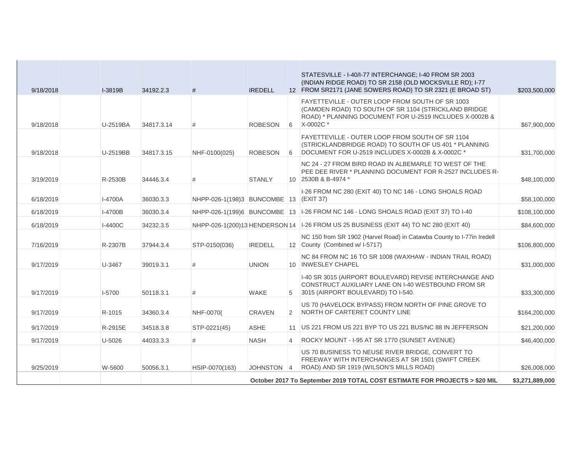|           |          |            |                                        |                |                | STATESVILLE - I-40/I-77 INTERCHANGE; I-40 FROM SR 2003                                                                                                                            |                 |
|-----------|----------|------------|----------------------------------------|----------------|----------------|-----------------------------------------------------------------------------------------------------------------------------------------------------------------------------------|-----------------|
| 9/18/2018 | I-3819B  | 34192.2.3  | #                                      | <b>IREDELL</b> |                | (INDIAN RIDGE ROAD) TO SR 2158 (OLD MOCKSVILLE RD); I-77<br>12 FROM SR2171 (JANE SOWERS ROAD) TO SR 2321 (E BROAD ST)                                                             | \$203,500,000   |
| 9/18/2018 | U-2519BA | 34817.3.14 | #                                      | <b>ROBESON</b> |                | FAYETTEVILLE - OUTER LOOP FROM SOUTH OF SR 1003<br>(CAMDEN ROAD) TO SOUTH OF SR 1104 (STRICKLAND BRIDGE<br>ROAD) * PLANNING DOCUMENT FOR U-2519 INCLUDES X-0002B &<br>6 X-0002C * | \$67,900,000    |
| 9/18/2018 | U-2519BB | 34817.3.15 | NHF-0100(025)                          | <b>ROBESON</b> | 6              | FAYETTEVILLE - OUTER LOOP FROM SOUTH OF SR 1104<br>(STRICKLANDBRIDGE ROAD) TO SOUTH OF US 401 * PLANNING<br>DOCUMENT FOR U-2519 INCLUDES X-0002B & X-0002C *                      | \$31,700,000    |
| 3/19/2019 | R-2530B  | 34446.3.4  | #                                      | <b>STANLY</b>  |                | NC 24 - 27 FROM BIRD ROAD IN ALBEMARLE TO WEST OF THE<br>PEE DEE RIVER * PLANNING DOCUMENT FOR R-2527 INCLUDES R-<br>10 2530B & B-4974 *                                          | \$48,100,000    |
| 6/18/2019 | I-4700A  | 36030.3.3  | NHPP-026-1(198)3 BUNCOMBE 13 (EXIT 37) |                |                | I-26 FROM NC 280 (EXIT 40) TO NC 146 - LONG SHOALS ROAD                                                                                                                           | \$58,100,000    |
| 6/18/2019 | I-4700B  | 36030.3.4  |                                        |                |                | NHPP-026-1(199)6 BUNCOMBE 13   I-26 FROM NC 146 - LONG SHOALS ROAD (EXIT 37) TO I-40                                                                                              | \$108,100,000   |
| 6/18/2019 | I-4400C  | 34232.3.5  |                                        |                |                | NHPP-026-1(200)13 HENDERSON 14   -26 FROM US 25 BUSINESS (EXIT 44) TO NC 280 (EXIT 40)                                                                                            | \$84,600,000    |
| 7/16/2019 | R-2307B  | 37944.3.4  | STP-0150(036)                          | <b>IREDELL</b> |                | NC 150 from SR 1902 (Harvel Road) in Catawba County to I-77in Iredell<br>12 County (Combined w/ I-5717)                                                                           | \$106,800,000   |
| 9/17/2019 | U-3467   | 39019.3.1  | #                                      | <b>UNION</b>   |                | NC 84 FROM NC 16 TO SR 1008 (WAXHAW - INDIAN TRAIL ROAD)<br>10 INWESLEY CHAPEL                                                                                                    | \$31,000,000    |
| 9/17/2019 | I-5700   | 50118.3.1  | #                                      | <b>WAKE</b>    | 5              | 1-40 SR 3015 (AIRPORT BOULEVARD) REVISE INTERCHANGE AND<br>CONSTRUCT AUXILIARY LANE ON 1-40 WESTBOUND FROM SR<br>3015 (AIRPORT BOULEVARD) TO I-540.                               | \$33,300,000    |
| 9/17/2019 | R-1015   | 34360.3.4  | NHF-0070(                              | <b>CRAVEN</b>  | $\overline{2}$ | US 70 (HAVELOCK BYPASS) FROM NORTH OF PINE GROVE TO<br>NORTH OF CARTERET COUNTY LINE                                                                                              | \$164,200,000   |
| 9/17/2019 | R-2915E  | 34518.3.8  | STP-0221(45)                           | <b>ASHE</b>    |                | 11 US 221 FROM US 221 BYP TO US 221 BUS/NC 88 IN JEFFERSON                                                                                                                        | \$21,200,000    |
| 9/17/2019 | U-5026   | 44033.3.3  | #                                      | <b>NASH</b>    | $\overline{4}$ | ROCKY MOUNT - I-95 AT SR 1770 (SUNSET AVENUE)                                                                                                                                     | \$46,400,000    |
| 9/25/2019 | W-5600   | 50056.3.1  | HSIP-0070(163)                         | JOHNSTON 4     |                | US 70 BUSINESS TO NEUSE RIVER BRIDGE, CONVERT TO<br>FREEWAY WITH INTERCHANGES AT SR 1501 (SWIFT CREEK<br>ROAD) AND SR 1919 (WILSON'S MILLS ROAD)                                  | \$26,008,000    |
|           |          |            |                                        |                |                | October 2017 To September 2019 TOTAL COST ESTIMATE FOR PROJECTS > \$20 MIL                                                                                                        | \$3,271,889,000 |